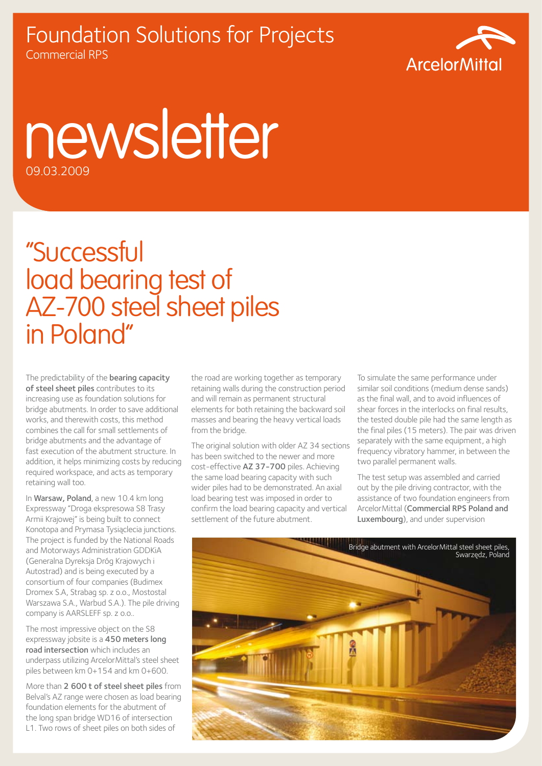## Foundation Solutions for Projects Commercial RPS



## newsletter 09.03.2009

## "Successful load bearing test of AZ-700 steel sheet piles in Poland"

The predictability of the **bearing capacity** of steel sheet piles contributes to its increasing use as foundation solutions for bridge abutments. In order to save additional works, and therewith costs, this method combines the call for small settlements of bridge abutments and the advantage of fast execution of the abutment structure. In addition, it helps minimizing costs by reducing required workspace, and acts as temporary retaining wall too.

In Warsaw, Poland, a new 10.4 km long Expressway "Droga ekspresowa S8 Trasy Armii Krajowej" is being built to connect Konotopa and Prymasa Tysiąclecia junctions. The project is funded by the National Roads and Motorways Administration GDDKiA (Generalna Dyreksja Dróg Krajowych i Autostrad) and is being executed by a consortium of four companies (Budimex Dromex S.A, Strabag sp. z o.o., Mostostal Warszawa S.A., Warbud S.A.). The pile driving company is AARSLEFF sp. z o.o..

The most impressive object on the S8 expressway jobsite is a 450 meters long road intersection which includes an underpass utilizing ArcelorMittal's steel sheet piles between km 0+154 and km 0+600.

More than 2 600 t of steel sheet piles from Belval's AZ range were chosen as load bearing foundation elements for the abutment of the long span bridge WD16 of intersection L1. Two rows of sheet piles on both sides of

the road are working together as temporary retaining walls during the construction period and will remain as permanent structural elements for both retaining the backward soil masses and bearing the heavy vertical loads from the bridge.

The original solution with older AZ 34 sections has been switched to the newer and more cost-effective AZ 37-700 piles. Achieving the same load bearing capacity with such wider piles had to be demonstrated. An axial load bearing test was imposed in order to confirm the load bearing capacity and vertical settlement of the future abutment.

To simulate the same performance under similar soil conditions (medium dense sands) as the final wall, and to avoid influences of shear forces in the interlocks on final results, the tested double pile had the same length as the final piles (15 meters). The pair was driven separately with the same equipment, a high frequency vibratory hammer, in between the two parallel permanent walls.

The test setup was assembled and carried out by the pile driving contractor, with the assistance of two foundation engineers from ArcelorMittal (Commercial RPS Poland and Luxembourg), and under supervision